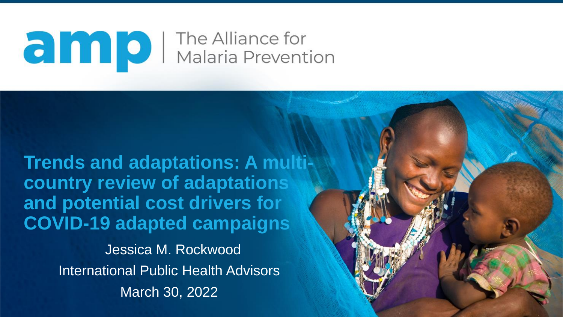## **and D** The Alliance for<br>Malaria Prevention

**Trends and adaptations: A multicountry review of adaptations and potential cost drivers for COVID-19 adapted campaigns** Jessica M. Rockwood

International Public Health Advisors March 30, 2022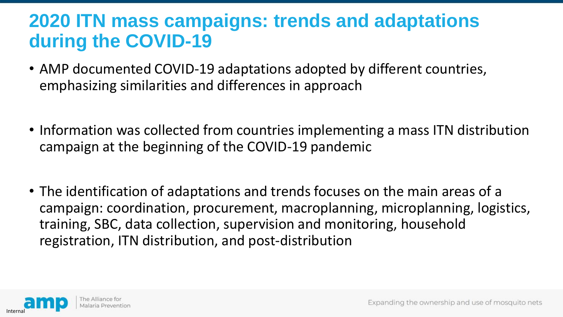#### **2020 ITN mass campaigns: trends and adaptations during the COVID-19**

- AMP documented COVID-19 adaptations adopted by different countries, emphasizing similarities and differences in approach
- Information was collected from countries implementing a mass ITN distribution campaign at the beginning of the COVID-19 pandemic
- The identification of adaptations and trends focuses on the main areas of a campaign: coordination, procurement, macroplanning, microplanning, logistics, training, SBC, data collection, supervision and monitoring, household registration, ITN distribution, and post-distribution

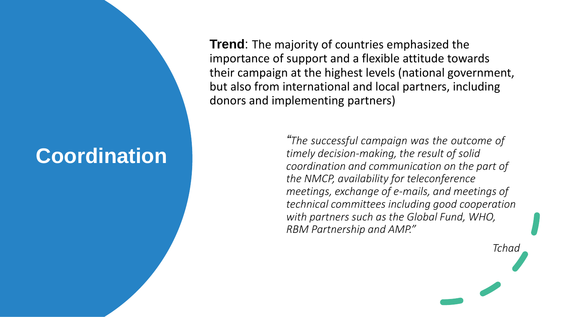#### **Coordination**

**Trend**: The majority of countries emphasized the importance of support and a flexible attitude towards their campaign at the highest levels (national government, but also from international and local partners, including donors and implementing partners)

> *"The successful campaign was the outcome of timely decision-making, the result of solid coordination and communication on the part of the NMCP, availability for teleconference meetings, exchange of e-mails, and meetings of technical committees including good cooperation with partners such as the Global Fund, WHO, RBM Partnership and AMP."*

> > *Tchad*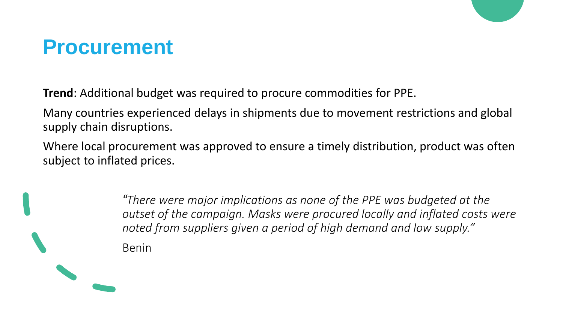#### **Procurement**

**Trend**: Additional budget was required to procure commodities for PPE.

Many countries experienced delays in shipments due to movement restrictions and global supply chain disruptions.

Where local procurement was approved to ensure a timely distribution, product was often subject to inflated prices.

> *"There were major implications as none of the PPE was budgeted at the outset of the campaign. Masks were procured locally and inflated costs were noted from suppliers given a period of high demand and low supply."*  Benin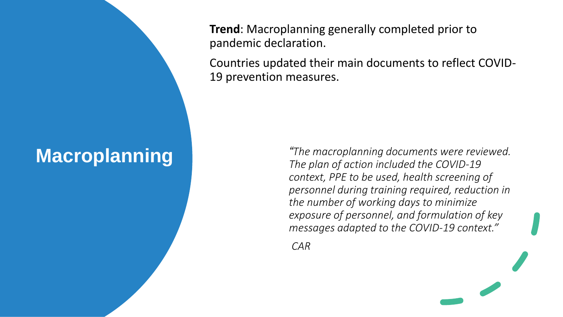#### **Macroplanning**

**Trend**: Macroplanning generally completed prior to pandemic declaration.

Countries updated their main documents to reflect COVID-19 prevention measures.

> *"The macroplanning documents were reviewed. The plan of action included the COVID-19 context, PPE to be used, health screening of personnel during training required, reduction in the number of working days to minimize exposure of personnel, and formulation of key messages adapted to the COVID-19 context."*

*CAR*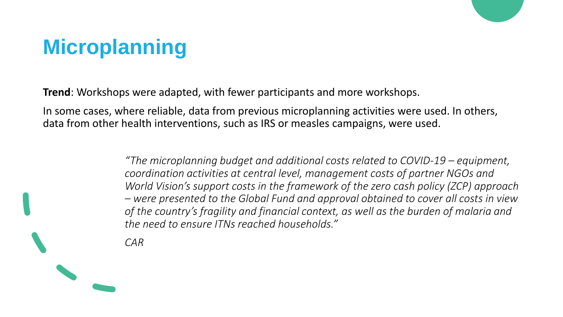#### **Microplanning**

**Trend**: Workshops were adapted, with fewer participants and more workshops.

In some cases, where reliable, data from previous microplanning activities were used. In others, data from other health interventions, such as IRS or measles campaigns, were used.

> *"The microplanning budget and additional costs related to COVID-19 – equipment, coordination activities at central level, management costs of partner NGOs and World Vision's support costs in the framework of the zero cash policy (ZCP) approach – were presented to the Global Fund and approval obtained to cover all costs in view of the country's fragility and financial context, as well as the burden of malaria and the need to ensure ITNs reached households."*

*CAR*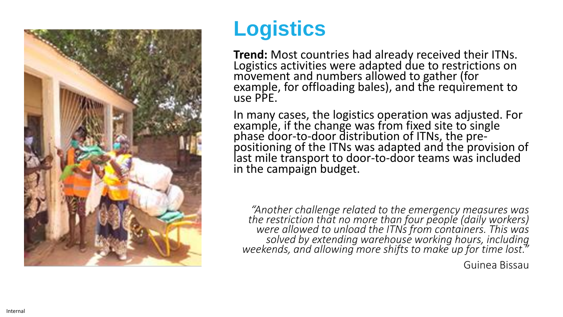

#### **Logistics**

**Trend:**  Most countries had already received their ITNs. Logistics activities were adapted due to restrictions on movement and numbers allowed to gather (for example, for offloading bales), and the requirement to use PPE.

In many cases, the logistics operation was adjusted. For example, if the change was from fixed site to single phase door-to-door distribution of ITNs, the prepositioning of the ITNs was adapted and the provision of last mile transport to door -to -door teams was included in the campaign budget.

*"Another challenge related to the emergency measures was the restriction that no more than four people (daily workers) were allowed to unload the ITNs from containers. This was solved by extending warehouse working hours, including weekends, and allowing more shifts to make up for time lost."*

Guinea Bissau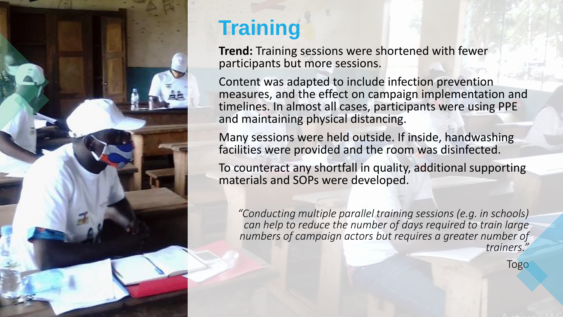

#### **Training**

**Trend:** Training sessions were shortened with fewer participants but more sessions.

Content was adapted to include infection prevention measures, and the effect on campaign implementation and timelines. In almost all cases, participants were using PPE and maintaining physical distancing.

Many sessions were held outside. If inside, handwashing facilities were provided and the room was disinfected.

To counteract any shortfall in quality, additional supporting materials and SOPs were developed.

*"Conducting multiple parallel training sessions (e.g. in schools) can help to reduce the number of days required to train large numbers of campaign actors but requires a greater number of trainers."*

**Togo**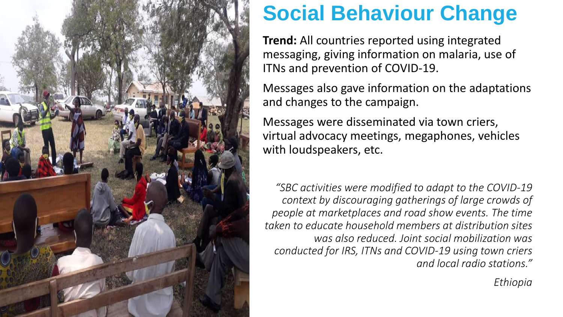

#### **Social Behaviour Change**

**Trend:** All countries reported using integrated messaging, giving information on malaria, use of ITNs and prevention of COVID -19.

Messages also gave information on the adaptations and changes to the campaign.

Messages were disseminated via town criers, virtual advocacy meetings, megaphones, vehicles with loudspeakers, etc.

*"SBC activities were modified to adapt to the COVID -19 context by discouraging gatherings of large crowds of people at marketplaces and road show events. The time taken to educate household members at distribution sites was also reduced. Joint social mobilization was conducted for IRS, ITNs and COVID -19 using town criers and local radio stations."* 

*Ethiopia*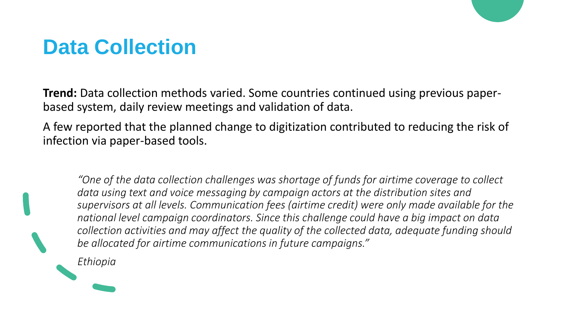#### **Data Collection**

**Trend:** Data collection methods varied. Some countries continued using previous paperbased system, daily review meetings and validation of data.

A few reported that the planned change to digitization contributed to reducing the risk of infection via paper-based tools.

*"One of the data collection challenges was shortage of funds for airtime coverage to collect data using text and voice messaging by campaign actors at the distribution sites and supervisors at all levels. Communication fees (airtime credit) were only made available for the national level campaign coordinators. Since this challenge could have a big impact on data collection activities and may affect the quality of the collected data, adequate funding should be allocated for airtime communications in future campaigns."*

*Ethiopia*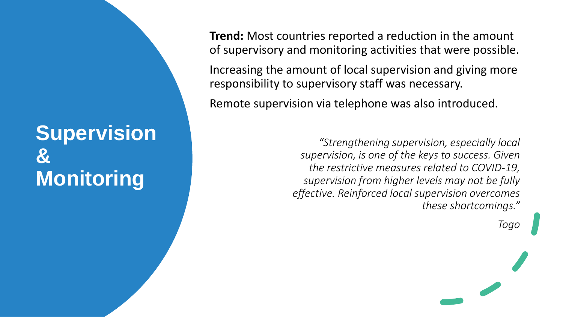#### **Supervision & Monitoring**

**Trend:** Most countries reported a reduction in the amount of supervisory and monitoring activities that were possible.

Increasing the amount of local supervision and giving more responsibility to supervisory staff was necessary.

Remote supervision via telephone was also introduced.

*"Strengthening supervision, especially local supervision, is one of the keys to success. Given the restrictive measures related to COVID-19, supervision from higher levels may not be fully effective. Reinforced local supervision overcomes these shortcomings."*

*Togo*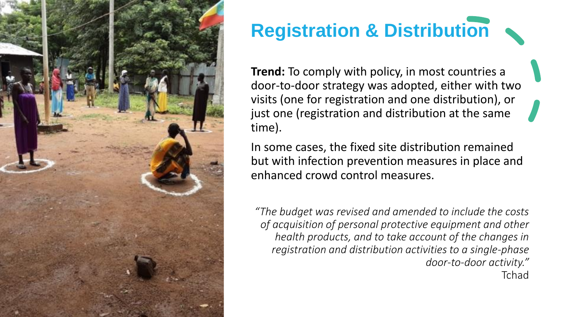![](_page_11_Picture_0.jpeg)

### **Registration & Distribution**

**Trend:** To comply with policy, in most countries a door -to -door strategy was adopted, either with two visits (one for registration and one distribution), or just one (registration and distribution at the same time).

In some cases, the fixed site distribution remained but with infection prevention measures in place and enhanced crowd control measures.

*"The budget was revised and amended to include the costs of acquisition of personal protective equipment and other health products, and to take account of the changes in registration and distribution activities to a single -phase door -to -door activity. "* Tchad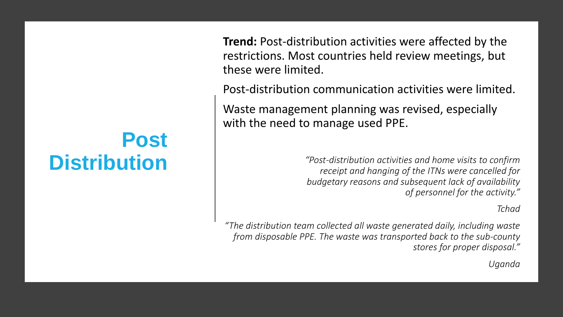#### **Post Distribution**

**Trend:** Post-distribution activities were affected by the restrictions. Most countries held review meetings, but these were limited.

Post-distribution communication activities were limited.

Waste management planning was revised, especially with the need to manage used PPE.

> *"Post-distribution activities and home visits to confirm receipt and hanging of the ITNs were cancelled for budgetary reasons and subsequent lack of availability of personnel for the activity."*

> > *Tchad*

*"The distribution team collected all waste generated daily, including waste from disposable PPE. The waste was transported back to the sub-county stores for proper disposal."*

*Uganda*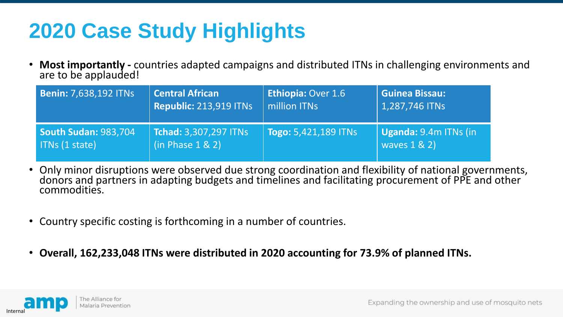#### **2020 Case Study Highlights**

• **Most importantly -** countries adapted campaigns and distributed ITNs in challenging environments and are to be applauded!

| <b>Benin: 7,638,192 ITNs</b> | <b>Central African</b>        | <b>Ethiopia: Over 1.6</b>       | <b>Guinea Bissau:</b>         |
|------------------------------|-------------------------------|---------------------------------|-------------------------------|
|                              | <b>Republic: 213,919 ITNs</b> | million ITNs                    | 1,287,746 ITNs                |
| <b>South Sudan: 983,704</b>  | <b>Tchad: 3,307,297 ITNs</b>  | $\sqrt{2}$ Togo: 5,421,189 ITNs | $\vert$ Uganda: 9.4m ITNs (in |
| ITNs (1 state)               | (in Phase 1 & 2)              |                                 | waves 1 & 2)                  |

- Only minor disruptions were observed due strong coordination and flexibility of national governments, donors and partners in adapting budgets and timelines and facilitating procurement of PPE and other commodities.
- Country specific costing is forthcoming in a number of countries.
- **Overall, 162,233,048 ITNs were distributed in 2020 accounting for 73.9% of planned ITNs.**

![](_page_13_Picture_6.jpeg)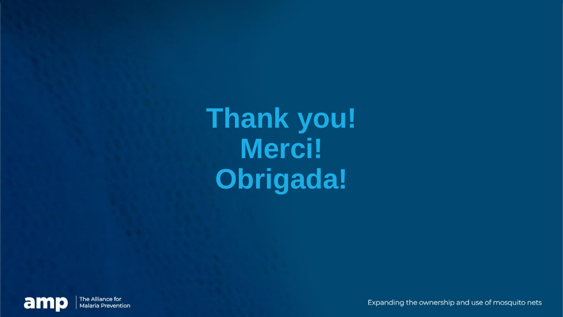**Thank you! Merci! Obrigada!**

![](_page_14_Picture_1.jpeg)

Expanding the ownership and use of mosquito nets